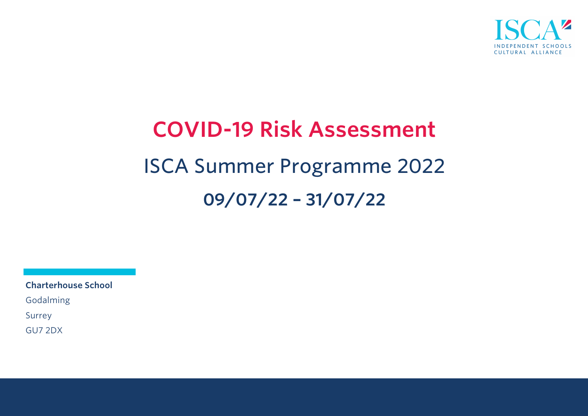

# **COVID-19 Risk Assessment** ISCA Summer Programme 2022 **09/07/22 – 31/07/22**

**Charterhouse School** Godalming Surrey

GU7 2DX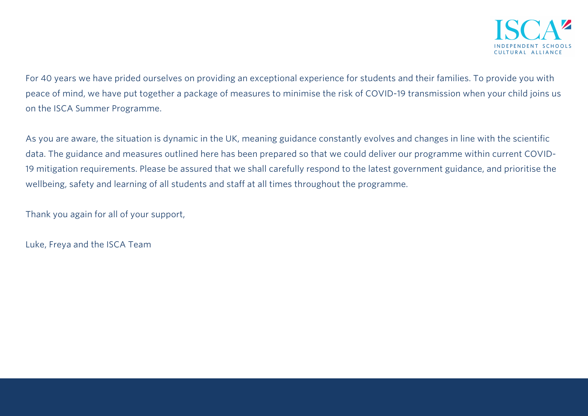For 40 years we have prided ourselves on providing an exceptional experience for students and their families. To provide you with peace of mind, we have put together a package of measures to minimise the risk of COVID-19 transmission when your child joins us on the ISCA Summer Programme.

As you are aware, the situation is dynamic in the UK, meaning guidance constantly evolves and changes in line with the scientific data. The guidance and measures outlined here has been prepared so that we could deliver our programme within current COVID-19 mitigation requirements. Please be assured that we shall carefully respond to the latest government guidance, and prioritise the wellbeing, safety and learning of all students and staff at all times throughout the programme.

Thank you again for all of your support,

Luke, Freya and the ISCA Team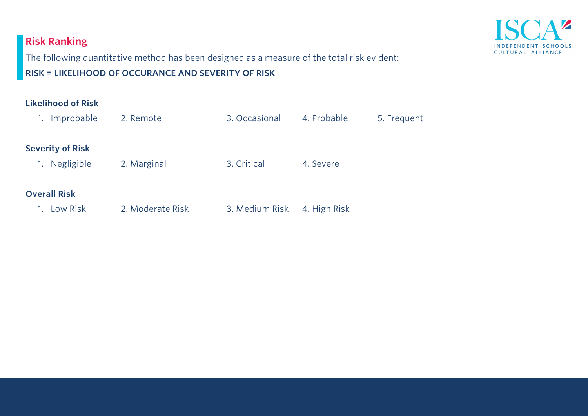# **Risk Ranking**



The following quantitative method has been designed as a measure of the total risk evident:

**RISK = LIKELIHOOD OF OCCURANCE AND SEVERITY OF RISK** 

| <b>Likelihood of Risk</b> |                  |                |              |             |
|---------------------------|------------------|----------------|--------------|-------------|
| Improbable<br>1.          | 2. Remote        | 3. Occasional  | 4. Probable  | 5. Frequent |
| <b>Severity of Risk</b>   |                  |                |              |             |
| Negligible<br>1.          | 2. Marginal      | 3. Critical    | 4. Severe    |             |
| <b>Overall Risk</b>       |                  |                |              |             |
| Low Risk                  | 2. Moderate Risk | 3. Medium Risk | 4. High Risk |             |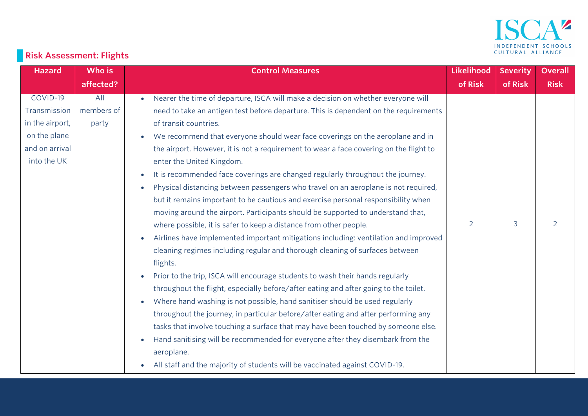

# **Risk Assessment: Flights**

| <b>Hazard</b>   | Who is     | <b>Control Measures</b>                                                                         | Likelihood | <b>Severity</b> | <b>Overall</b> |
|-----------------|------------|-------------------------------------------------------------------------------------------------|------------|-----------------|----------------|
|                 | affected?  |                                                                                                 | of Risk    | of Risk         | <b>Risk</b>    |
| COVID-19        | All        | Nearer the time of departure, ISCA will make a decision on whether everyone will<br>$\bullet$   |            |                 |                |
| Transmission    | members of | need to take an antigen test before departure. This is dependent on the requirements            |            |                 |                |
| in the airport, | party      | of transit countries.                                                                           |            |                 |                |
| on the plane    |            | We recommend that everyone should wear face coverings on the aeroplane and in<br>$\bullet$      |            |                 |                |
| and on arrival  |            | the airport. However, it is not a requirement to wear a face covering on the flight to          |            |                 |                |
| into the UK     |            | enter the United Kingdom.                                                                       |            |                 |                |
|                 |            | It is recommended face coverings are changed regularly throughout the journey.<br>$\bullet$     |            |                 |                |
|                 |            | Physical distancing between passengers who travel on an aeroplane is not required,<br>$\bullet$ |            |                 |                |
|                 |            | but it remains important to be cautious and exercise personal responsibility when               |            |                 |                |
|                 |            | moving around the airport. Participants should be supported to understand that,                 |            |                 |                |
|                 |            | where possible, it is safer to keep a distance from other people.                               | 2          | 3               | 2              |
|                 |            | Airlines have implemented important mitigations including: ventilation and improved             |            |                 |                |
|                 |            | cleaning regimes including regular and thorough cleaning of surfaces between                    |            |                 |                |
|                 |            | flights.                                                                                        |            |                 |                |
|                 |            | Prior to the trip, ISCA will encourage students to wash their hands regularly<br>$\bullet$      |            |                 |                |
|                 |            | throughout the flight, especially before/after eating and after going to the toilet.            |            |                 |                |
|                 |            | Where hand washing is not possible, hand sanitiser should be used regularly<br>$\bullet$        |            |                 |                |
|                 |            | throughout the journey, in particular before/after eating and after performing any              |            |                 |                |
|                 |            | tasks that involve touching a surface that may have been touched by someone else.               |            |                 |                |
|                 |            | Hand sanitising will be recommended for everyone after they disembark from the<br>$\bullet$     |            |                 |                |
|                 |            | aeroplane.                                                                                      |            |                 |                |
|                 |            | All staff and the majority of students will be vaccinated against COVID-19.<br>$\bullet$        |            |                 |                |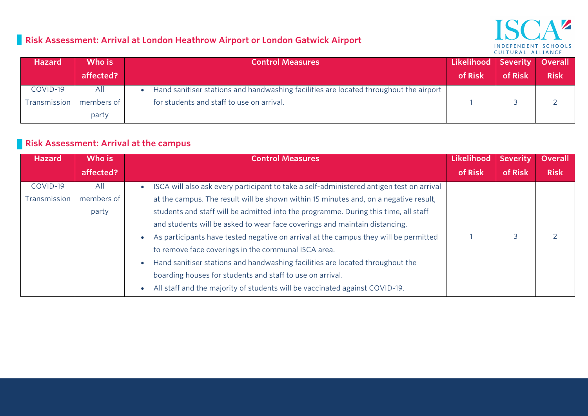## **Risk Assessment: Arrival at London Heathrow Airport or London Gatwick Airport**

## V INDEPENDENT SCHOOLS CULTURAL ALLIANCE

| Hazard       | Who is     | <b>Control Measures</b>                                                               | Likelihood Severity |         | Overall     |
|--------------|------------|---------------------------------------------------------------------------------------|---------------------|---------|-------------|
|              | affected?  |                                                                                       | of Risk             | of Risk | <b>Risk</b> |
| COVID-19     | All        | Hand sanitiser stations and handwashing facilities are located throughout the airport |                     |         |             |
| Transmission | members of | for students and staff to use on arrival.                                             |                     |         |             |
|              | party      |                                                                                       |                     |         |             |

#### **Risk Assessment: Arrival at the campus**

| <b>Hazard</b> | Who is     | <b>Control Measures</b>                                                                               | Likelihood | <b>Severity</b> | <b>Overall</b> |
|---------------|------------|-------------------------------------------------------------------------------------------------------|------------|-----------------|----------------|
|               | affected?  |                                                                                                       | of Risk    | of Risk         | <b>Risk</b>    |
| COVID-19      | All        | ISCA will also ask every participant to take a self-administered antigen test on arrival<br>$\bullet$ |            |                 |                |
| Transmission  | members of | at the campus. The result will be shown within 15 minutes and, on a negative result,                  |            |                 |                |
|               | party      | students and staff will be admitted into the programme. During this time, all staff                   |            |                 |                |
|               |            | and students will be asked to wear face coverings and maintain distancing.                            |            |                 |                |
|               |            | As participants have tested negative on arrival at the campus they will be permitted<br>$\bullet$     |            | 3               |                |
|               |            | to remove face coverings in the communal ISCA area.                                                   |            |                 |                |
|               |            | Hand sanitiser stations and handwashing facilities are located throughout the<br>$\bullet$            |            |                 |                |
|               |            | boarding houses for students and staff to use on arrival.                                             |            |                 |                |
|               |            | All staff and the majority of students will be vaccinated against COVID-19.<br>$\bullet$              |            |                 |                |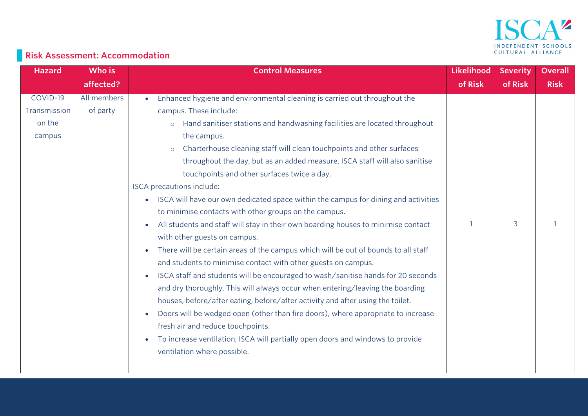

# **Risk Assessment: Accommodation**

| <b>Hazard</b> | Who is      | <b>Control Measures</b>                                                                         | Likelihood | <b>Severity</b> | <b>Overall</b> |
|---------------|-------------|-------------------------------------------------------------------------------------------------|------------|-----------------|----------------|
|               | affected?   |                                                                                                 | of Risk    | of Risk         | <b>Risk</b>    |
| COVID-19      | All members | Enhanced hygiene and environmental cleaning is carried out throughout the                       |            |                 |                |
| Transmission  | of party    | campus. These include:                                                                          |            |                 |                |
| on the        |             | Hand sanitiser stations and handwashing facilities are located throughout<br>$\circ$            |            |                 |                |
| campus        |             | the campus.                                                                                     |            |                 |                |
|               |             | Charterhouse cleaning staff will clean touchpoints and other surfaces<br>$\circ$                |            |                 |                |
|               |             | throughout the day, but as an added measure, ISCA staff will also sanitise                      |            |                 |                |
|               |             | touchpoints and other surfaces twice a day.                                                     |            |                 |                |
|               |             | ISCA precautions include:                                                                       |            |                 |                |
|               |             | ISCA will have our own dedicated space within the campus for dining and activities<br>$\bullet$ |            |                 |                |
|               |             | to minimise contacts with other groups on the campus.                                           |            |                 |                |
|               |             | All students and staff will stay in their own boarding houses to minimise contact               |            | 3               |                |
|               |             | with other guests on campus.                                                                    |            |                 |                |
|               |             | There will be certain areas of the campus which will be out of bounds to all staff              |            |                 |                |
|               |             | and students to minimise contact with other guests on campus.                                   |            |                 |                |
|               |             | ISCA staff and students will be encouraged to wash/sanitise hands for 20 seconds<br>$\bullet$   |            |                 |                |
|               |             | and dry thoroughly. This will always occur when entering/leaving the boarding                   |            |                 |                |
|               |             | houses, before/after eating, before/after activity and after using the toilet.                  |            |                 |                |
|               |             | Doors will be wedged open (other than fire doors), where appropriate to increase                |            |                 |                |
|               |             | fresh air and reduce touchpoints.                                                               |            |                 |                |
|               |             | To increase ventilation, ISCA will partially open doors and windows to provide                  |            |                 |                |
|               |             | ventilation where possible.                                                                     |            |                 |                |
|               |             |                                                                                                 |            |                 |                |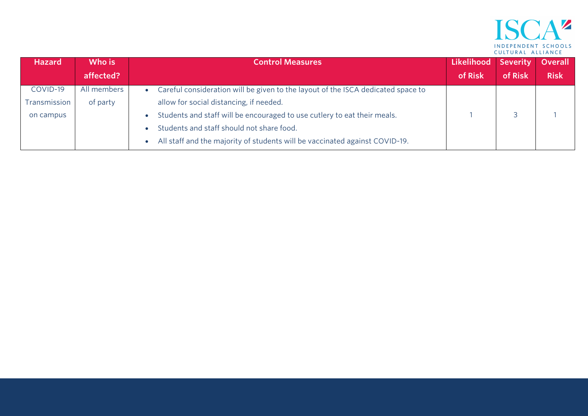

| <b>Hazard</b> | Who is      | <b>Control Measures</b>                                                          | Likelihood Severity |         | Overall     |
|---------------|-------------|----------------------------------------------------------------------------------|---------------------|---------|-------------|
|               | affected?   |                                                                                  | of Risk             | of Risk | <b>Risk</b> |
| COVID-19      | All members | Careful consideration will be given to the layout of the ISCA dedicated space to |                     |         |             |
| Transmission  | of party    | allow for social distancing, if needed.                                          |                     |         |             |
| on campus     |             | Students and staff will be encouraged to use cutlery to eat their meals.         |                     |         |             |
|               |             | Students and staff should not share food.                                        |                     |         |             |
|               |             | All staff and the majority of students will be vaccinated against COVID-19.      |                     |         |             |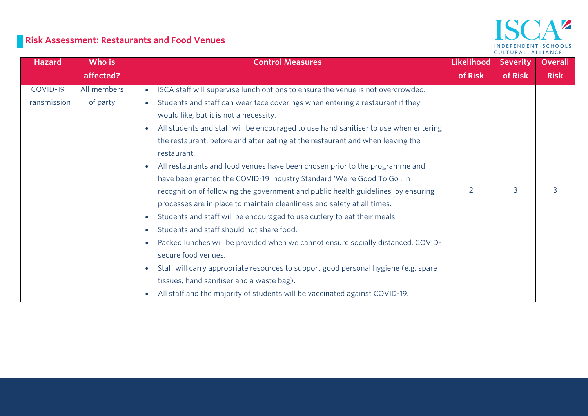## **Risk Assessment: Restaurants and Food Venues**

## ISCA<sup>2</sup> INDEPENDENT SCHOOLS CULTURAL ALLIANCE

| <b>Hazard</b> | Who is      | <b>Control Measures</b>                                                                      | <b>Likelihood</b> | <b>Severity</b> | <b>Overall</b> |
|---------------|-------------|----------------------------------------------------------------------------------------------|-------------------|-----------------|----------------|
|               | affected?   |                                                                                              | of Risk           | of Risk         | <b>Risk</b>    |
| COVID-19      | All members | ISCA staff will supervise lunch options to ensure the venue is not overcrowded.<br>$\bullet$ |                   |                 |                |
| Transmission  | of party    | Students and staff can wear face coverings when entering a restaurant if they                |                   |                 |                |
|               |             | would like, but it is not a necessity.                                                       |                   |                 |                |
|               |             | All students and staff will be encouraged to use hand sanitiser to use when entering         |                   |                 |                |
|               |             | the restaurant, before and after eating at the restaurant and when leaving the               |                   |                 |                |
|               |             | restaurant.                                                                                  |                   |                 |                |
|               |             | All restaurants and food venues have been chosen prior to the programme and                  |                   |                 |                |
|               |             | have been granted the COVID-19 Industry Standard 'We're Good To Go', in                      |                   |                 |                |
|               |             | recognition of following the government and public health guidelines, by ensuring            |                   | 3               | 3              |
|               |             | processes are in place to maintain cleanliness and safety at all times.                      |                   |                 |                |
|               |             | Students and staff will be encouraged to use cutlery to eat their meals.                     |                   |                 |                |
|               |             | Students and staff should not share food.                                                    |                   |                 |                |
|               |             | Packed lunches will be provided when we cannot ensure socially distanced, COVID-             |                   |                 |                |
|               |             | secure food venues.                                                                          |                   |                 |                |
|               |             | Staff will carry appropriate resources to support good personal hygiene (e.g. spare          |                   |                 |                |
|               |             | tissues, hand sanitiser and a waste bag).                                                    |                   |                 |                |
|               |             | All staff and the majority of students will be vaccinated against COVID-19.<br>$\bullet$     |                   |                 |                |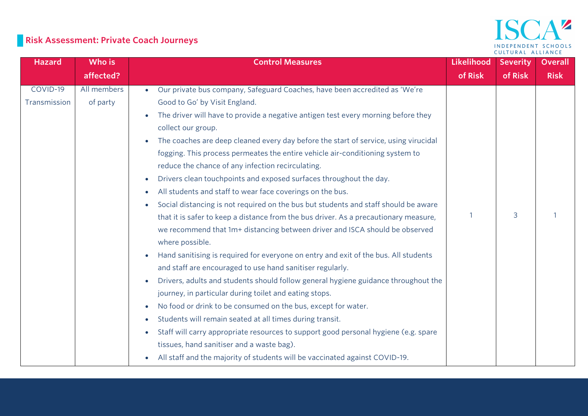# **Risk Assessment: Private Coach Journeys**

#### $\Delta$   $\mathbf{z}$ ISC INDEPENDENT SCHOOLS CULTURAL ALLIANCE

| <b>Hazard</b> | Who is      | <b>Control Measures</b>                                                                          | <b>Likelihood</b> | <b>Severity</b> | <b>Overall</b> |
|---------------|-------------|--------------------------------------------------------------------------------------------------|-------------------|-----------------|----------------|
|               | affected?   |                                                                                                  | of Risk           | of Risk         | <b>Risk</b>    |
| COVID-19      | All members | Our private bus company, Safeguard Coaches, have been accredited as 'We're<br>$\bullet$          |                   |                 |                |
| Transmission  | of party    | Good to Go' by Visit England.                                                                    |                   |                 |                |
|               |             | The driver will have to provide a negative antigen test every morning before they                |                   |                 |                |
|               |             | collect our group.                                                                               |                   |                 |                |
|               |             | The coaches are deep cleaned every day before the start of service, using virucidal              |                   |                 |                |
|               |             | fogging. This process permeates the entire vehicle air-conditioning system to                    |                   |                 |                |
|               |             | reduce the chance of any infection recirculating.                                                |                   |                 |                |
|               |             | Drivers clean touchpoints and exposed surfaces throughout the day.<br>$\bullet$                  |                   |                 |                |
|               |             | All students and staff to wear face coverings on the bus.<br>$\bullet$                           |                   |                 |                |
|               |             | Social distancing is not required on the bus but students and staff should be aware              |                   |                 |                |
|               |             | that it is safer to keep a distance from the bus driver. As a precautionary measure,             |                   | 3               |                |
|               |             | we recommend that 1m+ distancing between driver and ISCA should be observed                      |                   |                 |                |
|               |             | where possible.                                                                                  |                   |                 |                |
|               |             | Hand sanitising is required for everyone on entry and exit of the bus. All students              |                   |                 |                |
|               |             | and staff are encouraged to use hand sanitiser regularly.                                        |                   |                 |                |
|               |             | Drivers, adults and students should follow general hygiene guidance throughout the               |                   |                 |                |
|               |             | journey, in particular during toilet and eating stops.                                           |                   |                 |                |
|               |             | No food or drink to be consumed on the bus, except for water.<br>$\bullet$                       |                   |                 |                |
|               |             | Students will remain seated at all times during transit.<br>$\bullet$                            |                   |                 |                |
|               |             | Staff will carry appropriate resources to support good personal hygiene (e.g. spare<br>$\bullet$ |                   |                 |                |
|               |             | tissues, hand sanitiser and a waste bag).                                                        |                   |                 |                |
|               |             | All staff and the majority of students will be vaccinated against COVID-19.                      |                   |                 |                |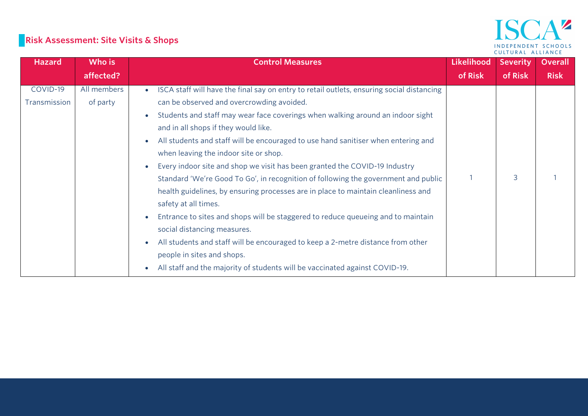# **Risk Assessment: Site Visits & Shops**

#### $\mathbf{A}^{\mathbf{z}}$ **ISC** INDEPENDENT SCHOOLS CULTURAL ALLIANCE

| <b>Hazard</b> | Who is      | <b>Control Measures</b>                                                                        | Likelihood | <b>Severity</b> | <b>Overall</b> |
|---------------|-------------|------------------------------------------------------------------------------------------------|------------|-----------------|----------------|
|               | affected?   |                                                                                                | of Risk    | of Risk         | <b>Risk</b>    |
| COVID-19      | All members | ISCA staff will have the final say on entry to retail outlets, ensuring social distancing      |            |                 |                |
| Transmission  | of party    | can be observed and overcrowding avoided.                                                      |            |                 |                |
|               |             | Students and staff may wear face coverings when walking around an indoor sight                 |            |                 |                |
|               |             | and in all shops if they would like.                                                           |            |                 |                |
|               |             | All students and staff will be encouraged to use hand sanitiser when entering and<br>$\bullet$ |            |                 |                |
|               |             | when leaving the indoor site or shop.                                                          |            |                 |                |
|               |             | Every indoor site and shop we visit has been granted the COVID-19 Industry                     |            |                 |                |
|               |             | Standard 'We're Good To Go', in recognition of following the government and public             |            | 3               |                |
|               |             | health guidelines, by ensuring processes are in place to maintain cleanliness and              |            |                 |                |
|               |             | safety at all times.                                                                           |            |                 |                |
|               |             | Entrance to sites and shops will be staggered to reduce queueing and to maintain               |            |                 |                |
|               |             | social distancing measures.                                                                    |            |                 |                |
|               |             | All students and staff will be encouraged to keep a 2-metre distance from other                |            |                 |                |
|               |             | people in sites and shops.                                                                     |            |                 |                |
|               |             | All staff and the majority of students will be vaccinated against COVID-19.                    |            |                 |                |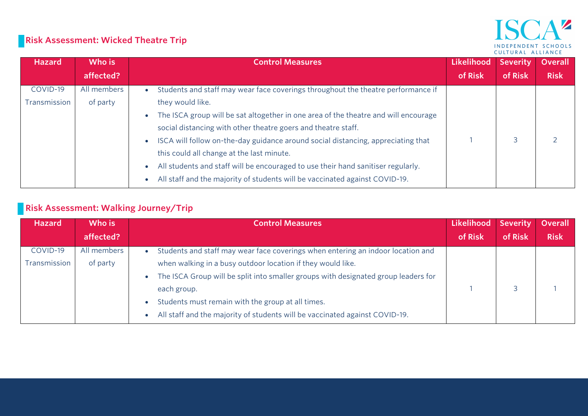#### $\blacktriangle$   $\blacktriangleright$ INDEPENDENT SCHOOLS CULTURAL ALLIANCE

## **Risk Assessment: Wicked Theatre Trip**

| <b>Hazard</b> | Who is      | <b>Control Measures</b>                                                             | Likelihood | <b>Severity</b> | <b>Overall</b> |
|---------------|-------------|-------------------------------------------------------------------------------------|------------|-----------------|----------------|
|               | affected?   |                                                                                     | of Risk    | of Risk         | <b>Risk</b>    |
| COVID-19      | All members | Students and staff may wear face coverings throughout the theatre performance if    |            |                 |                |
| Transmission  | of party    | they would like.                                                                    |            |                 |                |
|               |             | The ISCA group will be sat altogether in one area of the theatre and will encourage |            |                 |                |
|               |             | social distancing with other theatre goers and theatre staff.                       |            |                 |                |
|               |             | ISCA will follow on-the-day guidance around social distancing, appreciating that    |            |                 |                |
|               |             | this could all change at the last minute.                                           |            |                 |                |
|               |             | All students and staff will be encouraged to use their hand sanitiser regularly.    |            |                 |                |
|               |             | All staff and the majority of students will be vaccinated against COVID-19.         |            |                 |                |

## **Risk Assessment: Walking Journey/Trip**

| Hazard       | Who is      | <b>Control Measures</b>                                                            | Likelihood Severity |         | <b>Overall</b> |
|--------------|-------------|------------------------------------------------------------------------------------|---------------------|---------|----------------|
|              | affected?   |                                                                                    | of Risk             | of Risk | <b>Risk</b>    |
| COVID-19     | All members | Students and staff may wear face coverings when entering an indoor location and    |                     |         |                |
| Transmission | of party    | when walking in a busy outdoor location if they would like.                        |                     |         |                |
|              |             | The ISCA Group will be split into smaller groups with designated group leaders for |                     |         |                |
|              |             | each group.                                                                        |                     |         |                |
|              |             | Students must remain with the group at all times.                                  |                     |         |                |
|              |             | All staff and the majority of students will be vaccinated against COVID-19.        |                     |         |                |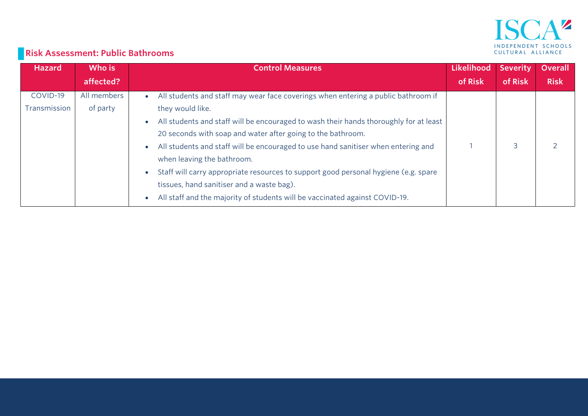

# **Risk Assessment: Public Bathrooms**

| <b>Hazard</b> | Who is      | <b>Control Measures</b>                                                               | Likelihood | <b>Severity</b> | <b>Overall</b> |
|---------------|-------------|---------------------------------------------------------------------------------------|------------|-----------------|----------------|
|               | affected?   |                                                                                       | of Risk    | of Risk         | <b>Risk</b>    |
| COVID-19      | All members | All students and staff may wear face coverings when entering a public bathroom if     |            |                 |                |
| Transmission  | of party    | they would like.                                                                      |            |                 |                |
|               |             | All students and staff will be encouraged to wash their hands thoroughly for at least |            |                 |                |
|               |             | 20 seconds with soap and water after going to the bathroom.                           |            |                 |                |
|               |             | All students and staff will be encouraged to use hand sanitiser when entering and     |            |                 |                |
|               |             | when leaving the bathroom.                                                            |            |                 |                |
|               |             | Staff will carry appropriate resources to support good personal hygiene (e.g. spare   |            |                 |                |
|               |             | tissues, hand sanitiser and a waste bag).                                             |            |                 |                |
|               |             | All staff and the majority of students will be vaccinated against COVID-19.           |            |                 |                |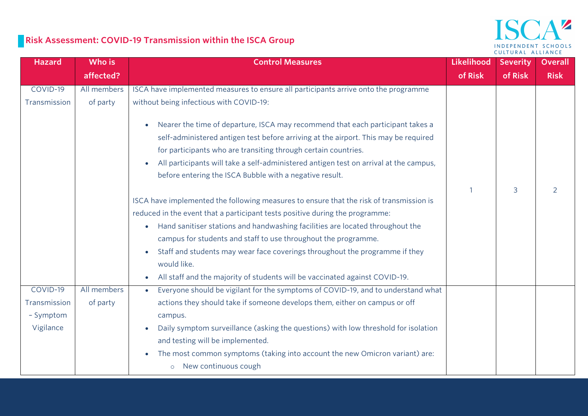## **Risk Assessment: COVID-19 Transmission within the ISCA Group**



| <b>Hazard</b> | Who is      | <b>Control Measures</b>                                                                                                                                                                                                                                                                                                                       | <b>Likelihood</b> | <b>Severity</b> | <b>Overall</b> |
|---------------|-------------|-----------------------------------------------------------------------------------------------------------------------------------------------------------------------------------------------------------------------------------------------------------------------------------------------------------------------------------------------|-------------------|-----------------|----------------|
|               | affected?   |                                                                                                                                                                                                                                                                                                                                               | of Risk           | of Risk         | <b>Risk</b>    |
| COVID-19      | All members | ISCA have implemented measures to ensure all participants arrive onto the programme                                                                                                                                                                                                                                                           |                   |                 |                |
| Transmission  | of party    | without being infectious with COVID-19:                                                                                                                                                                                                                                                                                                       |                   |                 |                |
|               |             | Nearer the time of departure, ISCA may recommend that each participant takes a<br>$\bullet$<br>self-administered antigen test before arriving at the airport. This may be required<br>for participants who are transiting through certain countries.<br>All participants will take a self-administered antigen test on arrival at the campus, |                   |                 |                |
|               |             | before entering the ISCA Bubble with a negative result.                                                                                                                                                                                                                                                                                       |                   |                 |                |
|               |             |                                                                                                                                                                                                                                                                                                                                               |                   | 3               | $\overline{2}$ |
|               |             | ISCA have implemented the following measures to ensure that the risk of transmission is                                                                                                                                                                                                                                                       |                   |                 |                |
|               |             | reduced in the event that a participant tests positive during the programme:                                                                                                                                                                                                                                                                  |                   |                 |                |
|               |             | Hand sanitiser stations and handwashing facilities are located throughout the<br>$\bullet$                                                                                                                                                                                                                                                    |                   |                 |                |
|               |             | campus for students and staff to use throughout the programme.                                                                                                                                                                                                                                                                                |                   |                 |                |
|               |             | Staff and students may wear face coverings throughout the programme if they<br>$\bullet$                                                                                                                                                                                                                                                      |                   |                 |                |
|               |             | would like.                                                                                                                                                                                                                                                                                                                                   |                   |                 |                |
|               |             | All staff and the majority of students will be vaccinated against COVID-19.                                                                                                                                                                                                                                                                   |                   |                 |                |
| COVID-19      | All members | Everyone should be vigilant for the symptoms of COVID-19, and to understand what<br>$\bullet$                                                                                                                                                                                                                                                 |                   |                 |                |
| Transmission  | of party    | actions they should take if someone develops them, either on campus or off                                                                                                                                                                                                                                                                    |                   |                 |                |
| - Symptom     |             | campus.                                                                                                                                                                                                                                                                                                                                       |                   |                 |                |
| Vigilance     |             | Daily symptom surveillance (asking the questions) with low threshold for isolation<br>and testing will be implemented.                                                                                                                                                                                                                        |                   |                 |                |
|               |             | The most common symptoms (taking into account the new Omicron variant) are:<br>$\bullet$<br>o New continuous cough                                                                                                                                                                                                                            |                   |                 |                |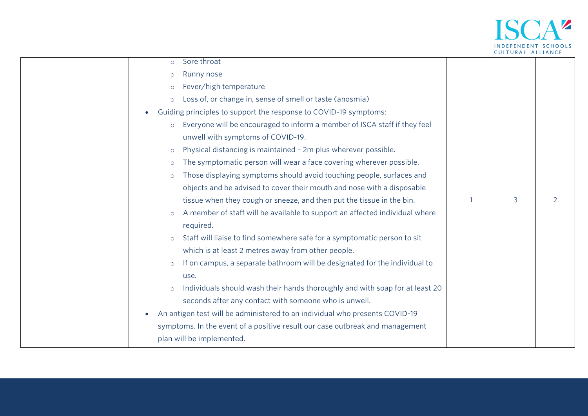

| Sore throat<br>$\circ$                                                                  |   |                |
|-----------------------------------------------------------------------------------------|---|----------------|
| Runny nose<br>$\Omega$                                                                  |   |                |
| Fever/high temperature<br>$\circ$                                                       |   |                |
| Loss of, or change in, sense of smell or taste (anosmia)<br>$\circ$                     |   |                |
| Guiding principles to support the response to COVID-19 symptoms:<br>$\bullet$           |   |                |
| Everyone will be encouraged to inform a member of ISCA staff if they feel<br>$\circ$    |   |                |
| unwell with symptoms of COVID-19.                                                       |   |                |
| Physical distancing is maintained - 2m plus wherever possible.<br>$\circ$               |   |                |
| The symptomatic person will wear a face covering wherever possible.<br>$\circ$          |   |                |
| Those displaying symptoms should avoid touching people, surfaces and<br>$\Omega$        |   |                |
| objects and be advised to cover their mouth and nose with a disposable                  |   |                |
| tissue when they cough or sneeze, and then put the tissue in the bin.                   | 3 | $\overline{2}$ |
| A member of staff will be available to support an affected individual where<br>$\circ$  |   |                |
| required.                                                                               |   |                |
| Staff will liaise to find somewhere safe for a symptomatic person to sit<br>$\circ$     |   |                |
| which is at least 2 metres away from other people.                                      |   |                |
| If on campus, a separate bathroom will be designated for the individual to<br>$\circ$   |   |                |
| use.                                                                                    |   |                |
| Individuals should wash their hands thoroughly and with soap for at least 20<br>$\circ$ |   |                |
| seconds after any contact with someone who is unwell.                                   |   |                |
| An antigen test will be administered to an individual who presents COVID-19             |   |                |
| symptoms. In the event of a positive result our case outbreak and management            |   |                |
| plan will be implemented.                                                               |   |                |
|                                                                                         |   |                |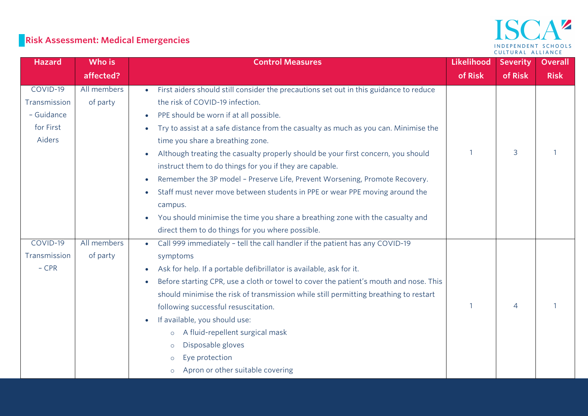## ISCA<sup>2</sup> INDEPENDENT SCHOOLS CULTURAL ALLIANCE

# **Risk Assessment: Medical Emergencies**

| <b>Hazard</b> | Who is      | <b>Control Measures</b>                                                                            | Likelihood   | <b>Severity</b> | <b>Overall</b> |
|---------------|-------------|----------------------------------------------------------------------------------------------------|--------------|-----------------|----------------|
|               | affected?   |                                                                                                    | of Risk      | of Risk         | <b>Risk</b>    |
| COVID-19      | All members | First aiders should still consider the precautions set out in this guidance to reduce              |              |                 |                |
| Transmission  | of party    | the risk of COVID-19 infection.                                                                    |              |                 |                |
| - Guidance    |             | PPE should be worn if at all possible.<br>$\bullet$                                                |              |                 |                |
| for First     |             | Try to assist at a safe distance from the casualty as much as you can. Minimise the<br>$\bullet$   |              |                 |                |
| Aiders        |             | time you share a breathing zone.                                                                   |              |                 |                |
|               |             | Although treating the casualty properly should be your first concern, you should                   | $\mathbf{1}$ | 3               |                |
|               |             | instruct them to do things for you if they are capable.                                            |              |                 |                |
|               |             | Remember the 3P model - Preserve Life, Prevent Worsening, Promote Recovery.                        |              |                 |                |
|               |             | Staff must never move between students in PPE or wear PPE moving around the                        |              |                 |                |
|               |             | campus.                                                                                            |              |                 |                |
|               |             | You should minimise the time you share a breathing zone with the casualty and                      |              |                 |                |
|               |             | direct them to do things for you where possible.                                                   |              |                 |                |
| COVID-19      | All members | Call 999 immediately - tell the call handler if the patient has any COVID-19<br>$\bullet$          |              |                 |                |
| Transmission  | of party    | symptoms                                                                                           |              |                 |                |
| $-CPR$        |             | Ask for help. If a portable defibrillator is available, ask for it.<br>$\bullet$                   |              |                 |                |
|               |             | Before starting CPR, use a cloth or towel to cover the patient's mouth and nose. This<br>$\bullet$ |              |                 |                |
|               |             | should minimise the risk of transmission while still permitting breathing to restart               |              |                 |                |
|               |             | following successful resuscitation.                                                                | $\mathbf{1}$ | $\overline{4}$  |                |
|               |             | If available, you should use:                                                                      |              |                 |                |
|               |             | A fluid-repellent surgical mask<br>$\circ$                                                         |              |                 |                |
|               |             | Disposable gloves<br>$\circ$                                                                       |              |                 |                |
|               |             | Eye protection<br>$\circ$                                                                          |              |                 |                |
|               |             | Apron or other suitable covering<br>$\circ$                                                        |              |                 |                |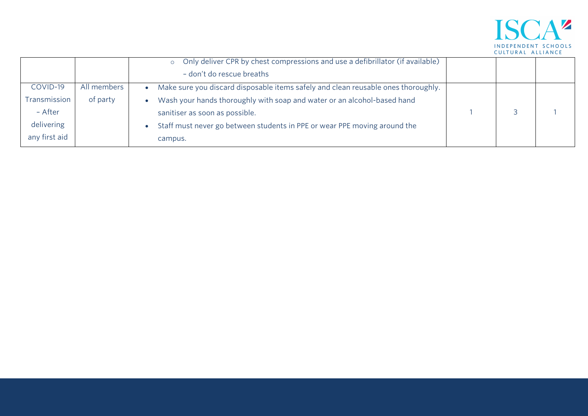

|               |             | o Only deliver CPR by chest compressions and use a defibrillator (if available)   |  |  |
|---------------|-------------|-----------------------------------------------------------------------------------|--|--|
|               |             | - don't do rescue breaths                                                         |  |  |
| COVID-19      | All members | Make sure you discard disposable items safely and clean reusable ones thoroughly. |  |  |
| Transmission  | of party    | Wash your hands thoroughly with soap and water or an alcohol-based hand           |  |  |
| - After       |             | sanitiser as soon as possible.                                                    |  |  |
| delivering    |             | Staff must never go between students in PPE or wear PPE moving around the         |  |  |
| any first aid |             | campus.                                                                           |  |  |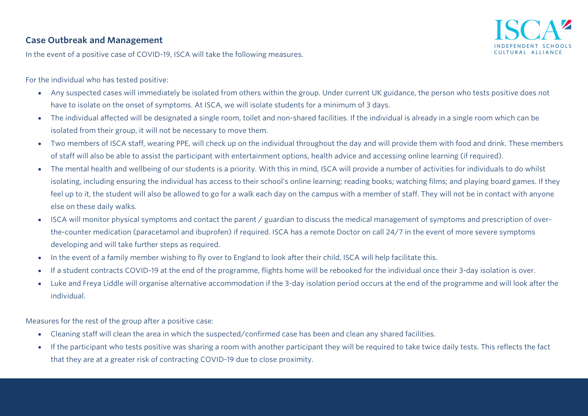#### **Case Outbreak and Management**



In the event of a positive case of COVID-19, ISCA will take the following measures.

For the individual who has tested positive:

- Any suspected cases will immediately be isolated from others within the group. Under current UK guidance, the person who tests positive does not have to isolate on the onset of symptoms. At ISCA, we will isolate students for a minimum of 3 days.
- The individual affected will be designated a single room, toilet and non-shared facilities. If the individual is already in a single room which can be isolated from their group, it will not be necessary to move them.
- Two members of ISCA staff, wearing PPE, will check up on the individual throughout the day and will provide them with food and drink. These members of staff will also be able to assist the participant with entertainment options, health advice and accessing online learning (if required).
- The mental health and wellbeing of our students is a priority. With this in mind, ISCA will provide a number of activities for individuals to do whilst isolating, including ensuring the individual has access to their school's online learning; reading books; watching films; and playing board games. If they feel up to it, the student will also be allowed to go for a walk each day on the campus with a member of staff. They will not be in contact with anyone else on these daily walks.
- ISCA will monitor physical symptoms and contact the parent / guardian to discuss the medical management of symptoms and prescription of overthe-counter medication (paracetamol and ibuprofen) if required. ISCA has a remote Doctor on call 24/7 in the event of more severe symptoms developing and will take further steps as required.
- In the event of a family member wishing to fly over to England to look after their child, ISCA will help facilitate this.
- If a student contracts COVID-19 at the end of the programme, flights home will be rebooked for the individual once their 3-day isolation is over.
- Luke and Freya Liddle will organise alternative accommodation if the 3-day isolation period occurs at the end of the programme and will look after the individual.

Measures for the rest of the group after a positive case:

- Cleaning staff will clean the area in which the suspected/confirmed case has been and clean any shared facilities.
- If the participant who tests positive was sharing a room with another participant they will be required to take twice daily tests. This reflects the fact that they are at a greater risk of contracting COVID-19 due to close proximity.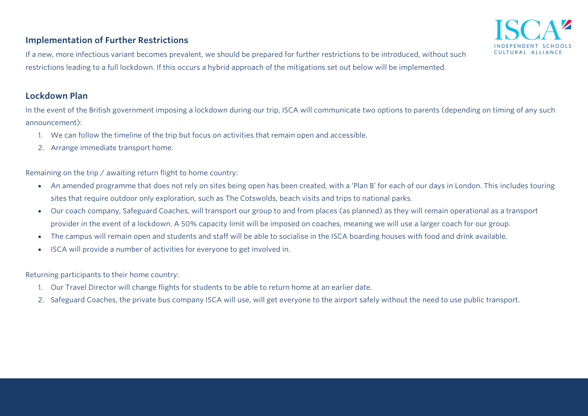#### **Implementation of Further Restrictions**



#### **Lockdown Plan**

In the event of the British government imposing a lockdown during our trip, ISCA will communicate two options to parents (depending on timing of any such announcement):

III TIIRAI AIII ANCI

- 1. We can follow the timeline of the trip but focus on activities that remain open and accessible.
- 2. Arrange immediate transport home.

Remaining on the trip / awaiting return flight to home country:

- An amended programme that does not rely on sites being open has been created, with a 'Plan B' for each of our days in London. This includes touring sites that require outdoor only exploration, such as The Cotswolds, beach visits and trips to national parks.
- Our coach company, Safeguard Coaches, will transport our group to and from places (as planned) as they will remain operational as a transport provider in the event of a lockdown. A 50% capacity limit will be imposed on coaches, meaning we will use a larger coach for our group.
- The campus will remain open and students and staff will be able to socialise in the ISCA boarding houses with food and drink available.
- ISCA will provide a number of activities for everyone to get involved in.

Returning participants to their home country:

- 1. Our Travel Director will change flights for students to be able to return home at an earlier date.
- 2. Safeguard Coaches, the private bus company ISCA will use, will get everyone to the airport safely without the need to use public transport.